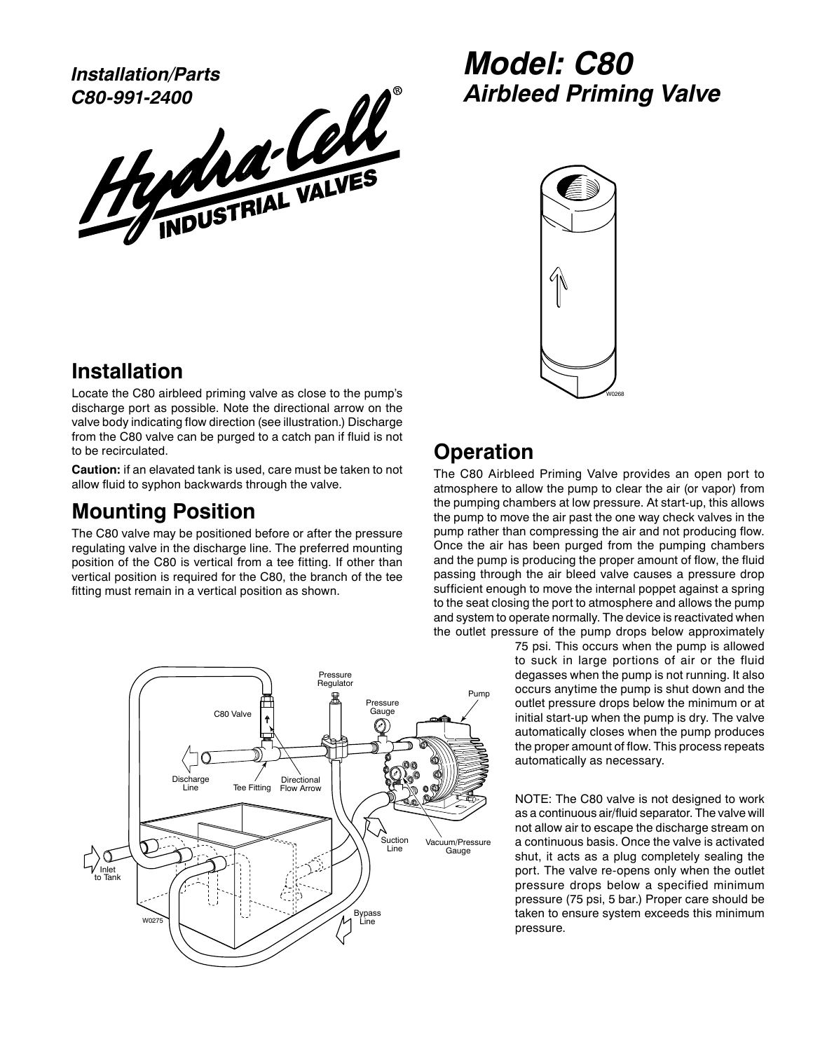**C80-991-2400**

Installation/Parts<br>C80-991-2400<br>HydrousTRIAL VALVES

## **Model: C80 Airbleed Priming Valve**



## **Installation**

Locate the C80 airbleed priming valve as close to the pump's discharge port as possible. Note the directional arrow on the valve body indicating flow direction (see illustration.) Discharge from the C80 valve can be purged to a catch pan if fluid is not to be recirculated.

**Caution:** if an elavated tank is used, care must be taken to not allow fluid to syphon backwards through the valve.

## **Mounting Position**

The C80 valve may be positioned before or after the pressure regulating valve in the discharge line. The preferred mounting position of the C80 is vertical from a tee fitting. If other than vertical position is required for the C80, the branch of the tee fitting must remain in a vertical position as shown.



## **Operation**

The C80 Airbleed Priming Valve provides an open port to atmosphere to allow the pump to clear the air (or vapor) from the pumping chambers at low pressure. At start-up, this allows the pump to move the air past the one way check valves in the pump rather than compressing the air and not producing flow. Once the air has been purged from the pumping chambers and the pump is producing the proper amount of flow, the fluid passing through the air bleed valve causes a pressure drop sufficient enough to move the internal poppet against a spring to the seat closing the port to atmosphere and allows the pump and system to operate normally. The device is reactivated when the outlet pressure of the pump drops below approximately

75 psi. This occurs when the pump is allowed to suck in large portions of air or the fluid degasses when the pump is not running. It also occurs anytime the pump is shut down and the outlet pressure drops below the minimum or at initial start-up when the pump is dry. The valve automatically closes when the pump produces the proper amount of flow. This process repeats automatically as necessary.

NOTE: The C80 valve is not designed to work as a continuous air/fluid separator. The valve will not allow air to escape the discharge stream on a continuous basis. Once the valve is activated shut, it acts as a plug completely sealing the port. The valve re-opens only when the outlet pressure drops below a specified minimum pressure (75 psi, 5 bar.) Proper care should be taken to ensure system exceeds this minimum pressure.